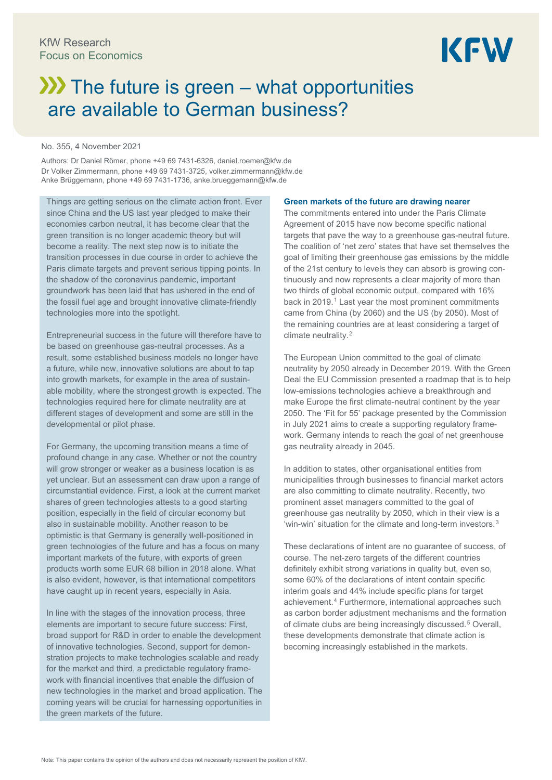# $\lambda$  The future is green – what opportunities are available to German business?

#### No. 355, 4 November 2021

Authors: Dr Daniel Römer, phone +49 69 7431-6326, daniel.roemer@kfw.de Dr Volker Zimmermann, phone +49 69 7431-3725[, volker.zimmermann@kfw.de](mailto:volker.zimmermann@kfw.de) Anke Brüggemann, phone +49 69 7431-1736, anke.brueggemann@kfw.de

Things are getting serious on the climate action front. Ever since China and the US last year pledged to make their economies carbon neutral, it has become clear that the green transition is no longer academic theory but will become a reality. The next step now is to initiate the transition processes in due course in order to achieve the Paris climate targets and prevent serious tipping points. In the shadow of the coronavirus pandemic, important groundwork has been laid that has ushered in the end of the fossil fuel age and brought innovative climate-friendly technologies more into the spotlight.

Entrepreneurial success in the future will therefore have to be based on greenhouse gas-neutral processes. As a result, some established business models no longer have a future, while new, innovative solutions are about to tap into growth markets, for example in the area of sustainable mobility, where the strongest growth is expected. The technologies required here for climate neutrality are at different stages of development and some are still in the developmental or pilot phase.

For Germany, the upcoming transition means a time of profound change in any case. Whether or not the country will grow stronger or weaker as a business location is as yet unclear. But an assessment can draw upon a range of circumstantial evidence. First, a look at the current market shares of green technologies attests to a good starting position, especially in the field of circular economy but also in sustainable mobility. Another reason to be optimistic is that Germany is generally well-positioned in green technologies of the future and has a focus on many important markets of the future, with exports of green products worth some EUR 68 billion in 2018 alone. What is also evident, however, is that international competitors have caught up in recent years, especially in Asia.

In line with the stages of the innovation process, three elements are important to secure future success: First, broad support for R&D in order to enable the development of innovative technologies. Second, support for demonstration projects to make technologies scalable and ready for the market and third, a predictable regulatory framework with financial incentives that enable the diffusion of new technologies in the market and broad application. The coming years will be crucial for harnessing opportunities in the green markets of the future.

#### **Green markets of the future are drawing nearer**

The commitments entered into under the Paris Climate Agreement of 2015 have now become specific national targets that pave the way to a greenhouse gas-neutral future. The coalition of 'net zero' states that have set themselves the goal of limiting their greenhouse gas emissions by the middle of the 21st century to levels they can absorb is growing continuously and now represents a clear majority of more than two thirds of global economic output, compared with 16% back in 20[1](#page-6-0)9.<sup>1</sup> Last year the most prominent commitments came from China (by 2060) and the US (by 2050). Most of the remaining countries are at least considering a target of climate neutrality.<sup>[2](#page-6-1)</sup>

The European Union committed to the goal of climate neutrality by 2050 already in December 2019. With the Green Deal the EU Commission presented a roadmap that is to help low-emissions technologies achieve a breakthrough and make Europe the first climate-neutral continent by the year 2050. The 'Fit for 55' package presented by the Commission in July 2021 aims to create a supporting regulatory framework. Germany intends to reach the goal of net greenhouse gas neutrality already in 2045.

In addition to states, other organisational entities from municipalities through businesses to financial market actors are also committing to climate neutrality. Recently, two prominent asset managers committed to the goal of greenhouse gas neutrality by 2050, which in their view is a 'win-win' situation for the climate and long-term investors.<sup>[3](#page-6-2)</sup>

These declarations of intent are no guarantee of success, of course. The net-zero targets of the different countries definitely exhibit strong variations in quality but, even so, some 60% of the declarations of intent contain specific interim goals and 44% include specific plans for target achievement.[4](#page-6-3) Furthermore, international approaches such as carbon border adjustment mechanisms and the formation of climate clubs are being increasingly discussed.<sup>[5](#page-6-4)</sup> Overall, these developments demonstrate that climate action is becoming increasingly established in the markets.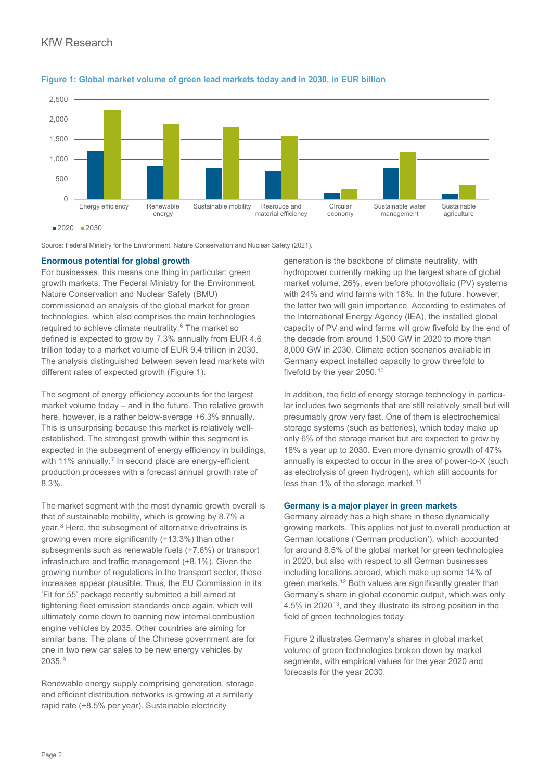

#### **Figure 1: Global market volume of green lead markets today and in 2030, in EUR billion**

Source: Federal Ministry for the Environment, Nature Conservation and Nuclear Safety (2021).

#### **Enormous potential for global growth**

For businesses, this means one thing in particular: green growth markets. The Federal Ministry for the Environment, Nature Conservation and Nuclear Safety (BMU) commissioned an analysis of the global market for green technologies, which also comprises the main technologies required to achieve climate neutrality.<sup>[6](#page-6-5)</sup> The market so defined is expected to grow by 7.3% annually from EUR 4.6 trillion today to a market volume of EUR 9.4 trillion in 2030. The analysis distinguished between seven lead markets with different rates of expected growth (Figure 1).

The segment of energy efficiency accounts for the largest market volume today – and in the future. The relative growth here, however, is a rather below-average +6.3% annually. This is unsurprising because this market is relatively wellestablished. The strongest growth within this segment is expected in the subsegment of energy efficiency in buildings, with 11% annually.<sup>[7](#page-6-6)</sup> In second place are energy-efficient production processes with a forecast annual growth rate of 8.3%.

The market segment with the most dynamic growth overall is that of sustainable mobility, which is growing by 8.7% a year.[8](#page-6-7) Here, the subsegment of alternative drivetrains is growing even more significantly (+13.3%) than other subsegments such as renewable fuels (+7.6%) or transport infrastructure and traffic management (+8.1%). Given the growing number of regulations in the transport sector, these increases appear plausible. Thus, the EU Commission in its 'Fit for 55' package recently submitted a bill aimed at tightening fleet emission standards once again, which will ultimately come down to banning new internal combustion engine vehicles by 2035. Other countries are aiming for similar bans. The plans of the Chinese government are for one in two new car sales to be new energy vehicles by 2035.[9](#page-6-8)

Renewable energy supply comprising generation, storage and efficient distribution networks is growing at a similarly rapid rate (+8.5% per year). Sustainable electricity

generation is the backbone of climate neutrality, with hydropower currently making up the largest share of global market volume, 26%, even before photovoltaic (PV) systems with 24% and wind farms with 18%. In the future, however, the latter two will gain importance. According to estimates of the International Energy Agency (IEA), the installed global capacity of PV and wind farms will grow fivefold by the end of the decade from around 1,500 GW in 2020 to more than 8,000 GW in 2030. Climate action scenarios available in Germany expect installed capacity to grow threefold to fivefold by the year 2050.[10](#page-6-9)

In addition, the field of energy storage technology in particular includes two segments that are still relatively small but will presumably grow very fast. One of them is electrochemical storage systems (such as batteries), which today make up only 6% of the storage market but are expected to grow by 18% a year up to 2030. Even more dynamic growth of 47% annually is expected to occur in the area of power-to-X (such as electrolysis of green hydrogen), which still accounts for less than 1% of the storage market.<sup>[11](#page-6-10)</sup>

## **Germany is a major player in green markets**

Germany already has a high share in these dynamically growing markets. This applies not just to overall production at German locations ('German production'), which accounted for around 8.5% of the global market for green technologies in 2020, but also with respect to all German businesses including locations abroad, which make up some 14% of green markets.[12](#page-6-11) Both values are significantly greater than Germany's share in global economic output, which was only 4.5% in 2020[13,](#page-6-12) and they illustrate its strong position in the field of green technologies today.

Figure 2 illustrates Germany's shares in global market volume of green technologies broken down by market segments, with empirical values for the year 2020 and forecasts for the year 2030.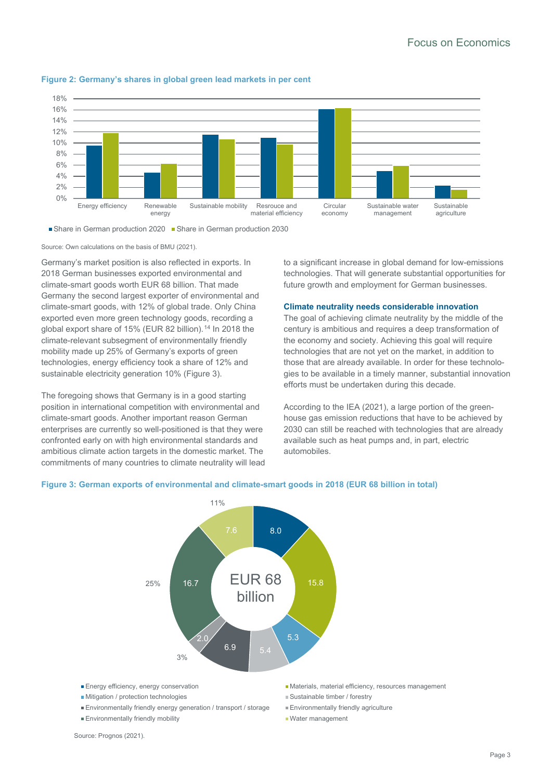

#### **Figure 2: Germany's shares in global green lead markets in per cent**



Source: Own calculations on the basis of BMU (2021).

Germany's market position is also reflected in exports. In 2018 German businesses exported environmental and climate-smart goods worth EUR 68 billion. That made Germany the second largest exporter of environmental and climate-smart goods, with 12% of global trade. Only China exported even more green technology goods, recording a global export share of 15% (EUR 82 billion).<sup>[14](#page-6-13)</sup> In 2018 the climate-relevant subsegment of environmentally friendly mobility made up 25% of Germany's exports of green technologies, energy efficiency took a share of 12% and sustainable electricity generation 10% (Figure 3).

The foregoing shows that Germany is in a good starting position in international competition with environmental and climate-smart goods. Another important reason German enterprises are currently so well-positioned is that they were confronted early on with high environmental standards and ambitious climate action targets in the domestic market. The commitments of many countries to climate neutrality will lead to a significant increase in global demand for low-emissions technologies. That will generate substantial opportunities for future growth and employment for German businesses.

#### **Climate neutrality needs considerable innovation**

The goal of achieving climate neutrality by the middle of the century is ambitious and requires a deep transformation of the economy and society. Achieving this goal will require technologies that are not yet on the market, in addition to those that are already available. In order for these technologies to be available in a timely manner, substantial innovation efforts must be undertaken during this decade.

According to the IEA (2021), a large portion of the greenhouse gas emission reductions that have to be achieved by 2030 can still be reached with technologies that are already available such as heat pumps and, in part, electric automobiles.

# **Figure 3: German exports of environmental and climate-smart goods in 2018 (EUR 68 billion in total)**



- **Environmentally friendly mobility** Water management
- 
- 
- -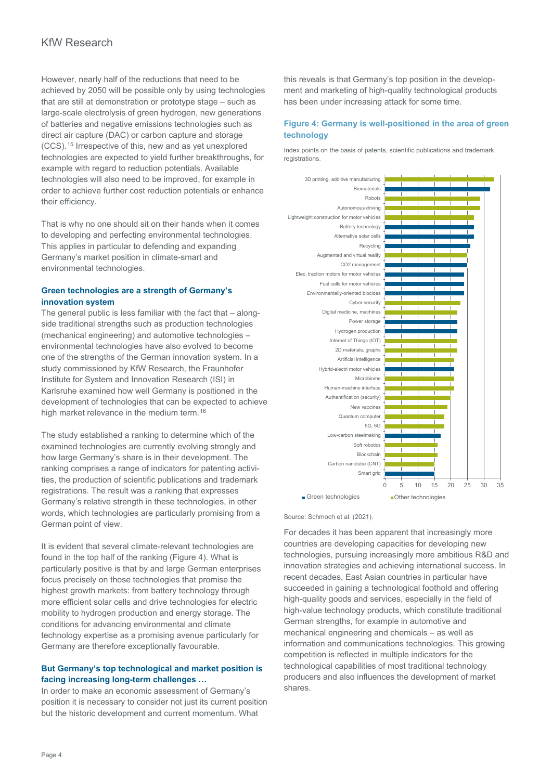However, nearly half of the reductions that need to be achieved by 2050 will be possible only by using technologies that are still at demonstration or prototype stage – such as large-scale electrolysis of green hydrogen, new generations of batteries and negative emissions technologies such as direct air capture (DAC) or carbon capture and storage (CCS).[15](#page-6-14) Irrespective of this, new and as yet unexplored technologies are expected to yield further breakthroughs, for example with regard to reduction potentials. Available technologies will also need to be improved, for example in order to achieve further cost reduction potentials or enhance their efficiency.

That is why no one should sit on their hands when it comes to developing and perfecting environmental technologies. This applies in particular to defending and expanding Germany's market position in climate-smart and environmental technologies.

## **Green technologies are a strength of Germany's innovation system**

The general public is less familiar with the fact that – alongside traditional strengths such as production technologies (mechanical engineering) and automotive technologies – environmental technologies have also evolved to become one of the strengths of the German innovation system. In a study commissioned by KfW Research, the Fraunhofer Institute for System and Innovation Research (ISI) in Karlsruhe examined how well Germany is positioned in the development of technologies that can be expected to achieve high market relevance in the medium term.<sup>[16](#page-6-15)</sup>

The study established a ranking to determine which of the examined technologies are currently evolving strongly and how large Germany's share is in their development. The ranking comprises a range of indicators for patenting activities, the production of scientific publications and trademark registrations. The result was a ranking that expresses Germany's relative strength in these technologies, in other words, which technologies are particularly promising from a German point of view.

It is evident that several climate-relevant technologies are found in the top half of the ranking (Figure 4). What is particularly positive is that by and large German enterprises focus precisely on those technologies that promise the highest growth markets: from battery technology through more efficient solar cells and drive technologies for electric mobility to hydrogen production and energy storage. The conditions for advancing environmental and climate technology expertise as a promising avenue particularly for Germany are therefore exceptionally favourable.

# **But Germany's top technological and market position is facing increasing long-term challenges …**

In order to make an economic assessment of Germany's position it is necessary to consider not just its current position but the historic development and current momentum. What

this reveals is that Germany's top position in the development and marketing of high-quality technological products has been under increasing attack for some time.

# **Figure 4: Germany is well-positioned in the area of green technology**

Index points on the basis of patents, scientific publications and trademark registrations.



#### Source: Schmoch et al. (2021).

For decades it has been apparent that increasingly more countries are developing capacities for developing new technologies, pursuing increasingly more ambitious R&D and innovation strategies and achieving international success. In recent decades, East Asian countries in particular have succeeded in gaining a technological foothold and offering high-quality goods and services, especially in the field of high-value technology products, which constitute traditional German strengths, for example in automotive and mechanical engineering and chemicals – as well as information and communications technologies. This growing competition is reflected in multiple indicators for the technological capabilities of most traditional technology producers and also influences the development of market shares.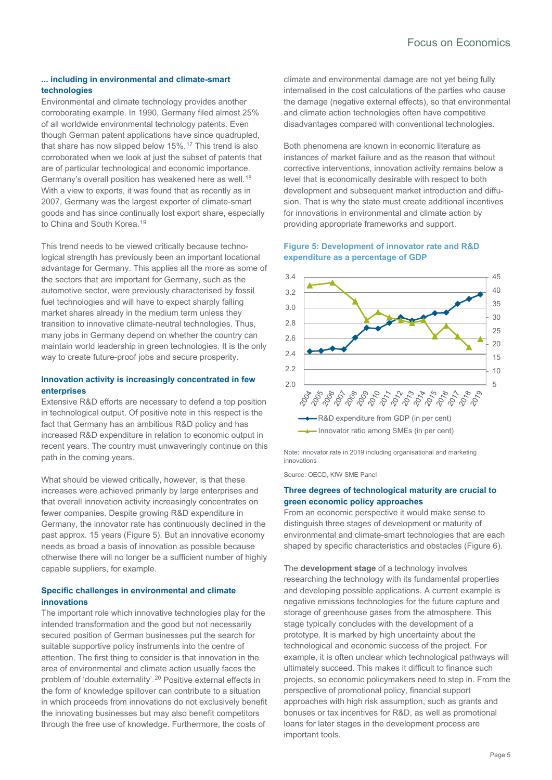# **... including in environmental and climate-smart technologies**

Environmental and climate technology provides another corroborating example. In 1990, Germany filed almost 25% of all worldwide environmental technology patents. Even though German patent applications have since quadrupled, that share has now slipped below 15%.[17](#page-6-16) This trend is also corroborated when we look at just the subset of patents that are of particular technological and economic importance. Germany's overall position has weakened here as well.<sup>[18](#page-6-17)</sup> With a view to exports, it was found that as recently as in 2007, Germany was the largest exporter of climate-smart goods and has since continually lost export share, especially to China and South Korea.<sup>[19](#page-7-0)</sup>

This trend needs to be viewed critically because technological strength has previously been an important locational advantage for Germany. This applies all the more as some of the sectors that are important for Germany, such as the automotive sector, were previously characterised by fossil fuel technologies and will have to expect sharply falling market shares already in the medium term unless they transition to innovative climate-neutral technologies. Thus, many jobs in Germany depend on whether the country can maintain world leadership in green technologies. It is the only way to create future-proof jobs and secure prosperity.

# **Innovation activity is increasingly concentrated in few enterprises**

Extensive R&D efforts are necessary to defend a top position in technological output. Of positive note in this respect is the fact that Germany has an ambitious R&D policy and has increased R&D expenditure in relation to economic output in recent years. The country must unwaveringly continue on this path in the coming years.

What should be viewed critically, however, is that these increases were achieved primarily by large enterprises and that overall innovation activity increasingly concentrates on fewer companies. Despite growing R&D expenditure in Germany, the innovator rate has continuously declined in the past approx. 15 years (Figure 5). But an innovative economy needs as broad a basis of innovation as possible because otherwise there will no longer be a sufficient number of highly capable suppliers, for example.

# **Specific challenges in environmental and climate innovations**

The important role which innovative technologies play for the intended transformation and the good but not necessarily secured position of German businesses put the search for suitable supportive policy instruments into the centre of attention. The first thing to consider is that innovation in the area of environmental and climate action usually faces the problem of 'double externality'.<sup>[20](#page-7-1)</sup> Positive external effects in the form of knowledge spillover can contribute to a situation in which proceeds from innovations do not exclusively benefit the innovating businesses but may also benefit competitors through the free use of knowledge. Furthermore, the costs of

climate and environmental damage are not yet being fully internalised in the cost calculations of the parties who cause the damage (negative external effects), so that environmental and climate action technologies often have competitive disadvantages compared with conventional technologies.

Both phenomena are known in economic literature as instances of market failure and as the reason that without corrective interventions, innovation activity remains below a level that is economically desirable with respect to both development and subsequent market introduction and diffusion. That is why the state must create additional incentives for innovations in environmental and climate action by providing appropriate frameworks and support.

# **Figure 5: Development of innovator rate and R&D expenditure as a percentage of GDP**



Note: Innovator rate in 2019 including organisational and marketing innovations

Source: OECD, KfW SME Panel

## **Three degrees of technological maturity are crucial to green economic policy approaches**

From an economic perspective it would make sense to distinguish three stages of development or maturity of environmental and climate-smart technologies that are each shaped by specific characteristics and obstacles (Figure 6).

The **development stage** of a technology involves researching the technology with its fundamental properties and developing possible applications. A current example is negative emissions technologies for the future capture and storage of greenhouse gases from the atmosphere. This stage typically concludes with the development of a prototype. It is marked by high uncertainty about the technological and economic success of the project. For example, it is often unclear which technological pathways will ultimately succeed. This makes it difficult to finance such projects, so economic policymakers need to step in. From the perspective of promotional policy, financial support approaches with high risk assumption, such as grants and bonuses or tax incentives for R&D, as well as promotional loans for later stages in the development process are important tools.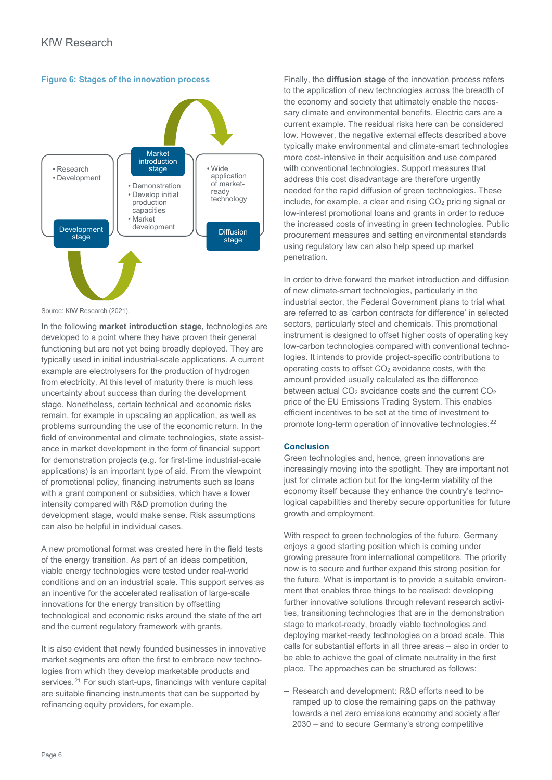



Source: KfW Research (2021).

In the following **market introduction stage,** technologies are developed to a point where they have proven their general functioning but are not yet being broadly deployed. They are typically used in initial industrial-scale applications. A current example are electrolysers for the production of hydrogen from electricity. At this level of maturity there is much less uncertainty about success than during the development stage. Nonetheless, certain technical and economic risks remain, for example in upscaling an application, as well as problems surrounding the use of the economic return. In the field of environmental and climate technologies, state assistance in market development in the form of financial support for demonstration projects (e.g. for first-time industrial-scale applications) is an important type of aid. From the viewpoint of promotional policy, financing instruments such as loans with a grant component or subsidies, which have a lower intensity compared with R&D promotion during the development stage, would make sense. Risk assumptions can also be helpful in individual cases.

A new promotional format was created here in the field tests of the energy transition. As part of an ideas competition, viable energy technologies were tested under real-world conditions and on an industrial scale. This support serves as an incentive for the accelerated realisation of large-scale innovations for the energy transition by offsetting technological and economic risks around the state of the art and the current regulatory framework with grants.

It is also evident that newly founded businesses in innovative market segments are often the first to embrace new technologies from which they develop marketable products and services.<sup>[21](#page-7-2)</sup> For such start-ups, financings with venture capital are suitable financing instruments that can be supported by refinancing equity providers, for example.

Finally, the **diffusion stage** of the innovation process refers to the application of new technologies across the breadth of the economy and society that ultimately enable the necessary climate and environmental benefits. Electric cars are a current example. The residual risks here can be considered low. However, the negative external effects described above typically make environmental and climate-smart technologies more cost-intensive in their acquisition and use compared with conventional technologies. Support measures that address this cost disadvantage are therefore urgently needed for the rapid diffusion of green technologies. These include, for example, a clear and rising  $CO<sub>2</sub>$  pricing signal or low-interest promotional loans and grants in order to reduce the increased costs of investing in green technologies. Public procurement measures and setting environmental standards using regulatory law can also help speed up market penetration.

In order to drive forward the market introduction and diffusion of new climate-smart technologies, particularly in the industrial sector, the Federal Government plans to trial what are referred to as 'carbon contracts for difference' in selected sectors, particularly steel and chemicals. This promotional instrument is designed to offset higher costs of operating key low-carbon technologies compared with conventional technologies. It intends to provide project-specific contributions to operating costs to offset CO2 avoidance costs, with the amount provided usually calculated as the difference between actual CO<sub>2</sub> avoidance costs and the current CO<sub>2</sub> price of the EU Emissions Trading System. This enables efficient incentives to be set at the time of investment to promote long-term operation of innovative technologies.<sup>[22](#page-7-3)</sup>

#### **Conclusion**

Green technologies and, hence, green innovations are increasingly moving into the spotlight. They are important not just for climate action but for the long-term viability of the economy itself because they enhance the country's technological capabilities and thereby secure opportunities for future growth and employment.

With respect to green technologies of the future, Germany enjoys a good starting position which is coming under growing pressure from international competitors. The priority now is to secure and further expand this strong position for the future. What is important is to provide a suitable environment that enables three things to be realised: developing further innovative solutions through relevant research activities, transitioning technologies that are in the demonstration stage to market-ready, broadly viable technologies and deploying market-ready technologies on a broad scale. This calls for substantial efforts in all three areas – also in order to be able to achieve the goal of climate neutrality in the first place. The approaches can be structured as follows:

 $-$  Research and development: R&D efforts need to be ramped up to close the remaining gaps on the pathway towards a net zero emissions economy and society after 2030 – and to secure Germany's strong competitive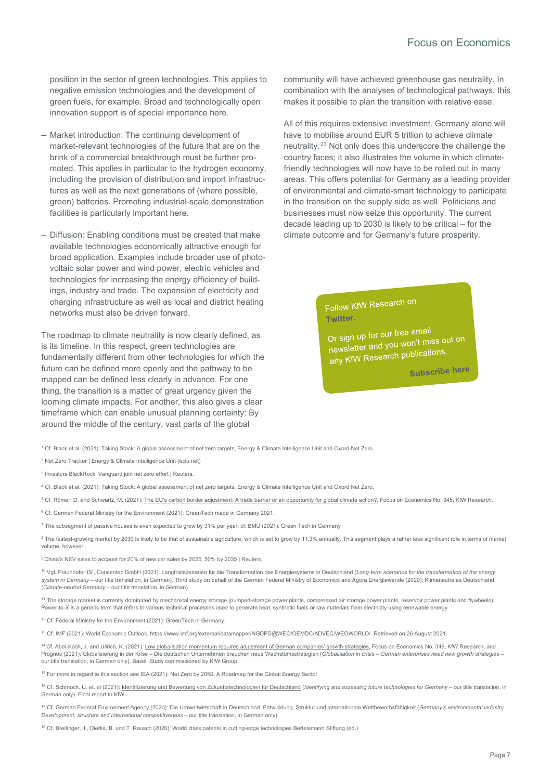position in the sector of green technologies. This applies to negative emission technologies and the development of green fuels, for example. Broad and technologically open innovation support is of special importance here.

- ‒ Market introduction: The continuing development of market-relevant technologies of the future that are on the brink of a commercial breakthrough must be further promoted. This applies in particular to the hydrogen economy, including the provision of distribution and import infrastructures as well as the next generations of (where possible, green) batteries. Promoting industrial-scale demonstration facilities is particularly important here.
- ‒ Diffusion: Enabling conditions must be created that make available technologies economically attractive enough for broad application. Examples include broader use of photovoltaic solar power and wind power, electric vehicles and technologies for increasing the energy efficiency of buildings, industry and trade. The expansion of electricity and charging infrastructure as well as local and district heating networks must also be driven forward.

The roadmap to climate neutrality is now clearly defined, as is its timeline. In this respect, green technologies are fundamentally different from other technologies for which the future can be defined more openly and the pathway to be mapped can be defined less clearly in advance. For one thing, the transition is a matter of great urgency given the looming climate impacts. For another, this also gives a clear timeframe which can enable unusual planning certainty: By around the middle of the century, vast parts of the global

community will have achieved greenhouse gas neutrality. In combination with the analyses of technological pathways, this makes it possible to plan the transition with relative ease.

All of this requires extensive investment. Germany alone will have to mobilise around EUR 5 trillion to achieve climate neutrality.[23](#page-7-4) Not only does this underscore the challenge the country faces; it also illustrates the volume in which climatefriendly technologies will now have to be rolled out in many areas. This offers potential for Germany as a leading provider of environmental and climate-smart technology to participate in the transition on the supply side as well. Politicians and businesses must now seize this opportunity. The current decade leading up to 2030 is likely to be critical – for the climate outcome and for Germany's future prosperity.

> Follow KfW Research on Twitter.

Or sign up for our free email Or sign up for our free emails<br>newsletter and you won't miss out on<br>newsletter newsletter and you won charge

Subscribe here

<span id="page-6-0"></span><sup>1</sup> Cf. Black et al. (2021)[: Taking Stock: A global assessment of net zero targets,](https://ca1-eci.edcdn.com/reports/ECIU-Oxford_Taking_Stock.pdf) Energy & Climate Intelligence Unit and Oxord Net Zero.

<span id="page-6-1"></span><sup>2</sup> [Net Zero Tracker | Energy & Climate Intelligence Unit \(eciu.net\)](https://eciu.net/netzerotracker)

<span id="page-6-2"></span><sup>3</sup> [Investors BlackRock, Vanguard join net zero effort | Reuters.](https://www.reuters.com/business/sustainable-business/investors-blackrock-vanguard-join-net-zero-effort-2021-03-29/) 

<span id="page-6-3"></span><sup>4</sup> Cf. Black et al. (2021)[: Taking Stock: A global assessment of net zero targets,](https://ca1-eci.edcdn.com/reports/ECIU-Oxford_Taking_Stock.pdf) Energy & Climate Intelligence Unit and Oxord Net Zero.

<span id="page-6-4"></span><sup>5</sup> Cf. Römer, D. and Schwartz, M. (2021)[: The EU's carbon border adjustment: A trade barrier or an opportunity for global climate action?,](https://www.kfw.de/PDF/Download-Center/Konzernthemen/Research/PDF-Dokumente-Fokus-Volkswirtschaft/Fokus-englische-Dateien/Fokus-2021-EN/Focus-No.-345-September-2021-CBAM.pdf) Focus on Economics No. 345, KfW Research.

<span id="page-6-5"></span><sup>6</sup> Cf. German Federal Ministry for the Environment (2021): GreenTech made in Germany 2021.

<span id="page-6-6"></span><sup>7</sup> The subsegment of passive houses is even expected to grow by 31% per year, cf. BMU (2021): Green Tech in Germany

<span id="page-6-7"></span><sup>8</sup> The fastest-growing market by 2030 is likely to be that of sustainable agriculture, which is set to grow by 11.3% annually. This segment plays a rather less significant role in terms of market volume, however.

<span id="page-6-8"></span><sup>9</sup> China's NEV sales to account for 20% of new car sales by 2025, 50% by 2035 | Reuters.

<span id="page-6-9"></span><sup>10</sup> Vgl. Fraunhofer ISI, Consentec GmbH (2021): Langfristszenarien für die Transformation des Energiesystems in Deutschland (*Long-term scenarios for the transformation of the energy*  system in Germany – our title translation, in German). Third study on behalf of the German Federal Ministry of Economics and Agora Energiewende (2020): Klimaneutrales Deutschland (*Climate-neutral Germany* – our title translation, in German).

<span id="page-6-10"></span><sup>11</sup> The storage market is currently dominated by mechanical energy storage (pumped-storage power plants, compressed air storage power plants, reservoir power plants and flywheels). Power-to-X is a generic term that refers to various technical processes used to generate heat, synthetic fuels or raw materials from electricity using renewable energy.

<span id="page-6-11"></span><sup>12</sup> Cf. Federal Ministry for the Environment (2021): GreenTech in Germany.

<span id="page-6-12"></span><sup>13</sup> Cf. IMF (2021): World Economic Outlook, https://www.imf.org/external/datamapper/NGDPD@WEO/OEMDC/ADVEC/WEOWORLD/. Retrieved on 26 August 2021.

<span id="page-6-13"></span><sup>14</sup> Cf. Abel-Koch, J. and Ullrich, K. (2021)[: Low globalisation momentum requires adjustment of German companies' growth strategies,](https://www.kfw.de/PDF/Download-Center/Konzernthemen/Research/PDF-Dokumente-Fokus-Volkswirtschaft/Fokus-englische-Dateien/Fokus-2021-EN/Focus-No.-349-October-2021-growth-strategies.pdf) Focus on Economics No. 349, KfW Research, and Prognos (2021)[: Globalisierung in der Krise – Die deutschen Unternehmen brauchen neue Wachstumsstrategien \(](https://www.kfw.de/PDF/Download-Center/Konzernthemen/Research/PDF-Dokumente-Studien-und-Materialien/Globalisierung-in-der-Krise-2021.pdf)*Globalisation in crisis – German enterprises need new growth strategies* – our title translation, in German only), Basel. Study commissioned by KfW Group.

<span id="page-6-14"></span><sup>15</sup> For more in regard to this section see IEA (2021): Net Zero by 2050, A Roadmap for the Global Energy Sector.

<span id="page-6-15"></span><sup>16</sup> Cf. Schmoch, U. et. al (2021)[: Identifizierung und Bewertung von Zukunftstechnologien für Deutschland \(](https://www.kfw.de/PDF/Download-Center/Konzernthemen/Research/PDF-Dokumente-Studien-und-Materialien/KfW_Bericht_Zukunftstechnologien.pdf)*Identifying and assessing future technologies for Germany* – our title translation, in German only). Final report to KfW.

<span id="page-6-16"></span><sup>17</sup> Cf. German Federal Environment Agency (2020): Die Umweltwirtschaft in Deutschland. Entwicklung, Struktur und internationale Wettbewerbsfähigkeit (*Germany's environmental industry. Development, structure and international competitiveness - our title translation, in German only)* 

<span id="page-6-17"></span><sup>18</sup> Cf. Breitinger, J., Dierks, B. und T. Rausch (2020): World class patents in cutting-edge technologies Bertelsmann Stiftung (ed.)